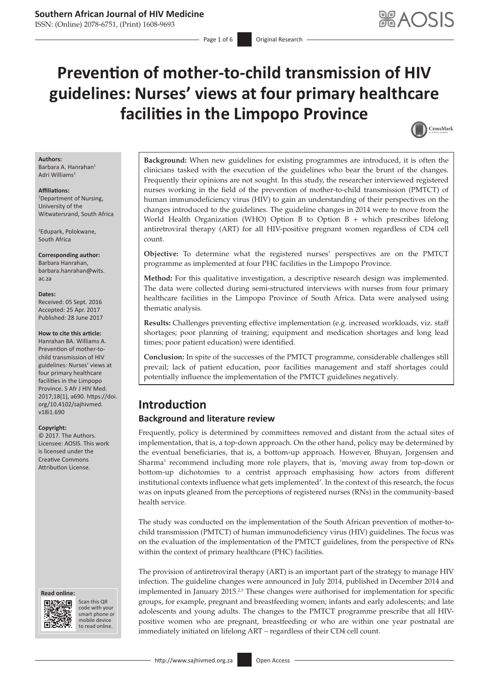ISSN: (Online) 2078-6751, (Print) 1608-9693

# **Prevention of mother-to-child transmission of HIV guidelines: Nurses' views at four primary healthcare facilities in the Limpopo Province**



#### **Authors:**

Barbara A. Hanrahan<sup>1</sup> Adri Williams<sup>2</sup>

#### **Affiliations:**

1 Department of Nursing, University of the Witwatersrand, South Africa

2 Edupark, Polokwane, South Africa

**Corresponding author:** Barbara Hanrahan, [barbara.hanrahan@wits.](mailto:barbara.hanrahan@wits.ac.za) [ac.za](mailto:barbara.hanrahan@wits.ac.za)

#### **Dates:**

Received: 05 Sept. 2016 Accepted: 25 Apr. 2017 Published: 28 June 2017

#### **How to cite this article:**

Hanrahan BA. Williams A. Prevention of mother-tochild transmission of HIV guidelines: Nurses' views at four primary healthcare facilities in the Limpopo Province. S Afr J HIV Med. 2017;18(1), a690. [https://doi.](https://doi.org/10.4102/sajhivmed.v18i1.690) [org/10.4102/sajhivmed.](https://doi.org/10.4102/sajhivmed.v18i1.690) [v18i1.690](https://doi.org/10.4102/sajhivmed.v18i1.690)

#### **Copyright:**

© 2017. The Authors. Licensee: AOSIS. This work is licensed under the Creative Commons Attribution License.

#### **Read online: Read**



Scan this QR code with your Scan this QR<br>code with your<br>smart phone or<br>mobile device mobile device to read online. to read online.

**Background:** When new guidelines for existing programmes are introduced, it is often the clinicians tasked with the execution of the guidelines who bear the brunt of the changes. Frequently their opinions are not sought. In this study, the researcher interviewed registered nurses working in the field of the prevention of mother-to-child transmission (PMTCT) of human immunodeficiency virus (HIV) to gain an understanding of their perspectives on the changes introduced to the guidelines. The guideline changes in 2014 were to move from the World Health Organization (WHO) Option B to Option B + which prescribes lifelong antiretroviral therapy (ART) for all HIV-positive pregnant women regardless of CD4 cell count.

**Objective:** To determine what the registered nurses' perspectives are on the PMTCT programme as implemented at four PHC facilities in the Limpopo Province.

**Method:** For this qualitative investigation, a descriptive research design was implemented. The data were collected during semi-structured interviews with nurses from four primary healthcare facilities in the Limpopo Province of South Africa. Data were analysed using thematic analysis.

**Results:** Challenges preventing effective implementation (e.g. increased workloads, viz. staff shortages; poor planning of training; equipment and medication shortages and long lead times; poor patient education) were identified.

**Conclusion:** In spite of the successes of the PMTCT programme, considerable challenges still prevail; lack of patient education, poor facilities management and staff shortages could potentially influence the implementation of the PMTCT guidelines negatively.

# **Introduction**

## **Background and literature review**

Frequently, policy is determined by committees removed and distant from the actual sites of implementation, that is, a top-down approach. On the other hand, policy may be determined by the eventual beneficiaries, that is, a bottom-up approach. However, Bhuyan, Jorgensen and Sharma<sup>1</sup> recommend including more role players, that is, 'moving away from top-down or bottom-up dichotomies to a centrist approach emphasising how actors from different institutional contexts influence what gets implemented'. In the context of this research, the focus was on inputs gleaned from the perceptions of registered nurses (RNs) in the community-based health service.

The study was conducted on the implementation of the South African prevention of mother-tochild transmission (PMTCT) of human immunodeficiency virus (HIV) guidelines. The focus was on the evaluation of the implementation of the PMTCT guidelines, from the perspective of RNs within the context of primary healthcare (PHC) facilities.

The provision of antiretroviral therapy (ART) is an important part of the strategy to manage HIV infection. The guideline changes were announced in July 2014, published in December 2014 and implemented in January  $2015^{2.3}$  These changes were authorised for implementation for specific groups, for example, pregnant and breastfeeding women; infants and early adolescents; and late adolescents and young adults. The changes to the PMTCT programme prescribe that all HIVpositive women who are pregnant, breastfeeding or who are within one year postnatal are immediately initiated on lifelong ART – regardless of their CD4 cell count.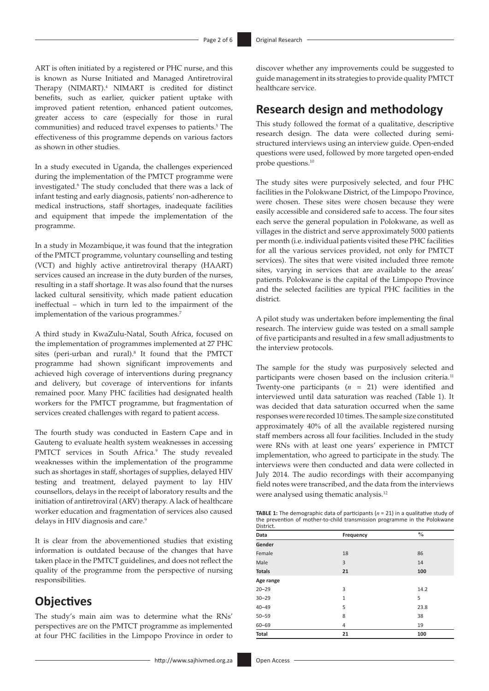ART is often initiated by a registered or PHC nurse, and this is known as Nurse Initiated and Managed Antiretroviral Therapy (NIMART).4 NIMART is credited for distinct benefits, such as earlier, quicker patient uptake with improved patient retention, enhanced patient outcomes, greater access to care (especially for those in rural communities) and reduced travel expenses to patients.<sup>5</sup> The effectiveness of this programme depends on various factors as shown in other studies.

In a study executed in Uganda, the challenges experienced during the implementation of the PMTCT programme were investigated.<sup>6</sup> The study concluded that there was a lack of infant testing and early diagnosis, patients' non-adherence to medical instructions, staff shortages, inadequate facilities and equipment that impede the implementation of the programme.

In a study in Mozambique, it was found that the integration of the PMTCT programme, voluntary counselling and testing (VCT) and highly active antiretroviral therapy (HAART) services caused an increase in the duty burden of the nurses, resulting in a staff shortage. It was also found that the nurses lacked cultural sensitivity, which made patient education ineffectual – which in turn led to the impairment of the implementation of the various programmes.7

A third study in KwaZulu-Natal, South Africa, focused on the implementation of programmes implemented at 27 PHC sites (peri-urban and rural).<sup>8</sup> It found that the PMTCT programme had shown significant improvements and achieved high coverage of interventions during pregnancy and delivery, but coverage of interventions for infants remained poor. Many PHC facilities had designated health workers for the PMTCT programme, but fragmentation of services created challenges with regard to patient access.

The fourth study was conducted in Eastern Cape and in Gauteng to evaluate health system weaknesses in accessing PMTCT services in South Africa.<sup>9</sup> The study revealed weaknesses within the implementation of the programme such as shortages in staff, shortages of supplies, delayed HIV testing and treatment, delayed payment to lay HIV counsellors, delays in the receipt of laboratory results and the initiation of antiretroviral (ARV) therapy. A lack of healthcare worker education and fragmentation of services also caused delays in HIV diagnosis and care.<sup>9</sup>

It is clear from the abovementioned studies that existing information is outdated because of the changes that have taken place in the PMTCT guidelines, and does not reflect the quality of the programme from the perspective of nursing responsibilities.

# **Objectives**

The study's main aim was to determine what the RNs' perspectives are on the PMTCT programme as implemented at four PHC facilities in the Limpopo Province in order to

discover whether any improvements could be suggested to guide management in its strategies to provide quality PMTCT healthcare service.

# **Research design and methodology**

This study followed the format of a qualitative, descriptive research design. The data were collected during semistructured interviews using an interview guide. Open-ended questions were used, followed by more targeted open-ended probe questions.10

The study sites were purposively selected, and four PHC facilities in the Polokwane District, of the Limpopo Province, were chosen. These sites were chosen because they were easily accessible and considered safe to access. The four sites each serve the general population in Polokwane, as well as villages in the district and serve approximately 5000 patients per month (i.e. individual patients visited these PHC facilities for all the various services provided, not only for PMTCT services). The sites that were visited included three remote sites, varying in services that are available to the areas' patients. Polokwane is the capital of the Limpopo Province and the selected facilities are typical PHC facilities in the district.

A pilot study was undertaken before implementing the final research. The interview guide was tested on a small sample of five participants and resulted in a few small adjustments to the interview protocols.

The sample for the study was purposively selected and participants were chosen based on the inclusion criteria.<sup>11</sup> Twenty-one participants (*n* = 21) were identified and interviewed until data saturation was reached (Table 1). It was decided that data saturation occurred when the same responses were recorded 10 times. The sample size constituted approximately 40% of all the available registered nursing staff members across all four facilities. Included in the study were RNs with at least one years' experience in PMTCT implementation, who agreed to participate in the study. The interviews were then conducted and data were collected in July 2014. The audio recordings with their accompanying field notes were transcribed, and the data from the interviews were analysed using thematic analysis.<sup>12</sup>

| <b>TABLE 1:</b> The demographic data of participants ( $n = 21$ ) in a qualitative study of |
|---------------------------------------------------------------------------------------------|
| the prevention of mother-to-child transmission programme in the Polokwane                   |
| District.                                                                                   |

| Data          | Frequency    | $\frac{0}{0}$ |
|---------------|--------------|---------------|
| Gender        |              |               |
| Female        | 18           | 86            |
| Male          | 3            | 14            |
| <b>Totals</b> | 21           | 100           |
| Age range     |              |               |
| $20 - 29$     | 3            | 14.2          |
| $30 - 29$     | $\mathbf{1}$ | 5             |
| $40 - 49$     | 5            | 23.8          |
| $50 - 59$     | 8            | 38            |
| $60 - 69$     | 4            | 19            |
| <b>Total</b>  | 21           | 100           |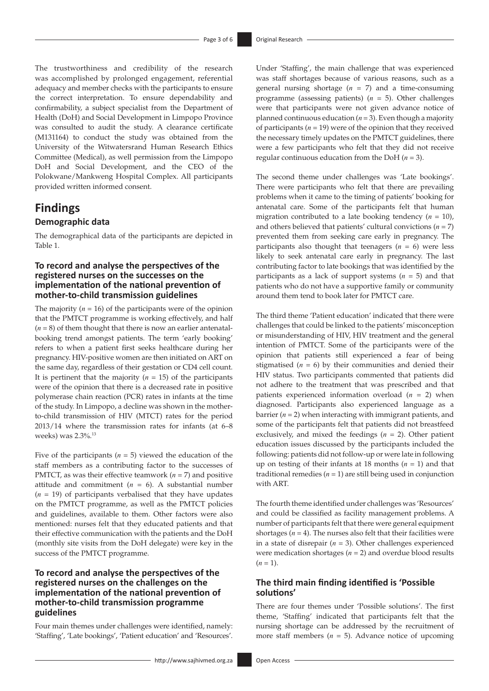The trustworthiness and credibility of the research was accomplished by prolonged engagement, referential adequacy and member checks with the participants to ensure the correct interpretation. To ensure dependability and confirmability, a subject specialist from the Department of Health (DoH) and Social Development in Limpopo Province was consulted to audit the study. A clearance certificate (M131164) to conduct the study was obtained from the University of the Witwatersrand Human Research Ethics Committee (Medical), as well permission from the Limpopo DoH and Social Development, and the CEO of the Polokwane/Mankweng Hospital Complex. All participants provided written informed consent.

# **Findings**

## **Demographic data**

The demographical data of the participants are depicted in Table 1.

## **To record and analyse the perspectives of the registered nurses on the successes on the implementation of the national prevention of mother-to-child transmission guidelines**

The majority  $(n = 16)$  of the participants were of the opinion that the PMTCT programme is working effectively, and half  $(n = 8)$  of them thought that there is now an earlier antenatalbooking trend amongst patients. The term 'early booking' refers to when a patient first seeks healthcare during her pregnancy. HIV-positive women are then initiated on ART on the same day, regardless of their gestation or CD4 cell count. It is pertinent that the majority  $(n = 15)$  of the participants were of the opinion that there is a decreased rate in positive polymerase chain reaction (PCR) rates in infants at the time of the study. In Limpopo, a decline was shown in the motherto-child transmission of HIV (MTCT) rates for the period 2013/14 where the transmission rates for infants (at 6–8 weeks) was 2.3%. 13

Five of the participants  $(n = 5)$  viewed the education of the staff members as a contributing factor to the successes of PMTCT, as was their effective teamwork (*n* = 7) and positive attitude and commitment  $(n = 6)$ . A substantial number  $(n = 19)$  of participants verbalised that they have updates on the PMTCT programme, as well as the PMTCT policies and guidelines, available to them. Other factors were also mentioned: nurses felt that they educated patients and that their effective communication with the patients and the DoH (monthly site visits from the DoH delegate) were key in the success of the PMTCT programme.

## **To record and analyse the perspectives of the registered nurses on the challenges on the implementation of the national prevention of mother-to-child transmission programme guidelines**

Four main themes under challenges were identified, namely: 'Staffing', 'Late bookings', 'Patient education' and 'Resources'.

Under 'Staffing', the main challenge that was experienced was staff shortages because of various reasons, such as a general nursing shortage  $(n = 7)$  and a time-consuming programme (assessing patients) (*n* = 5). Other challenges were that participants were not given advance notice of planned continuous education (*n* = 3). Even though a majority of participants  $(n = 19)$  were of the opinion that they received the necessary timely updates on the PMTCT guidelines, there were a few participants who felt that they did not receive regular continuous education from the DoH (*n* = 3).

The second theme under challenges was 'Late bookings'. There were participants who felt that there are prevailing problems when it came to the timing of patients' booking for antenatal care. Some of the participants felt that human migration contributed to a late booking tendency  $(n = 10)$ , and others believed that patients' cultural convictions  $(n = 7)$ prevented them from seeking care early in pregnancy. The participants also thought that teenagers  $(n = 6)$  were less likely to seek antenatal care early in pregnancy. The last contributing factor to late bookings that was identified by the participants as a lack of support systems (*n* = 5) and that patients who do not have a supportive family or community around them tend to book later for PMTCT care.

The third theme 'Patient education' indicated that there were challenges that could be linked to the patients' misconception or misunderstanding of HIV, HIV treatment and the general intention of PMTCT. Some of the participants were of the opinion that patients still experienced a fear of being stigmatised  $(n = 6)$  by their communities and denied their HIV status. Two participants commented that patients did not adhere to the treatment that was prescribed and that patients experienced information overload (*n* = 2) when diagnosed. Participants also experienced language as a barrier (*n* = 2) when interacting with immigrant patients, and some of the participants felt that patients did not breastfeed exclusively, and mixed the feedings (*n* = 2). Other patient education issues discussed by the participants included the following: patients did not follow-up or were late in following up on testing of their infants at 18 months (*n* = 1) and that traditional remedies  $(n = 1)$  are still being used in conjunction with ART.

The fourth theme identified under challenges was 'Resources' and could be classified as facility management problems. A number of participants felt that there were general equipment shortages  $(n = 4)$ . The nurses also felt that their facilities were in a state of disrepair (*n* = 3). Other challenges experienced were medication shortages (*n* = 2) and overdue blood results  $(n = 1)$ .

## **The third main finding identified is 'Possible solutions'**

There are four themes under 'Possible solutions'. The first theme, 'Staffing' indicated that participants felt that the nursing shortage can be addressed by the recruitment of more staff members  $(n = 5)$ . Advance notice of upcoming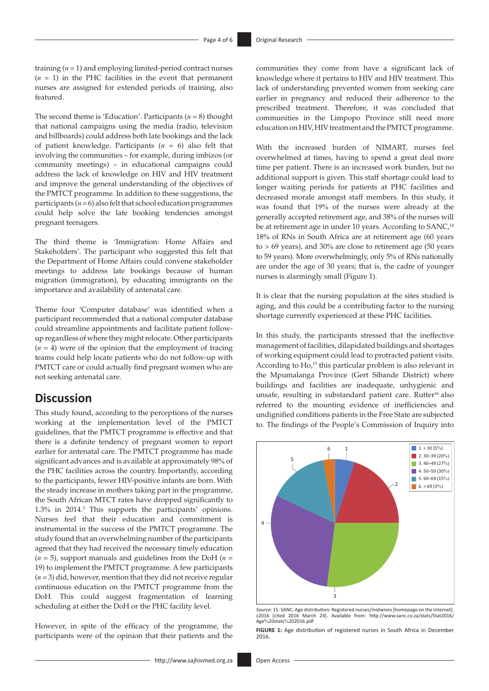training (*n* = 1) and employing limited-period contract nurses  $(n = 1)$  in the PHC facilities in the event that permanent nurses are assigned for extended periods of training, also featured.

The second theme is 'Education'. Participants (*n* = 8) thought that national campaigns using the media (radio, television and billboards) could address both late bookings and the lack of patient knowledge. Participants (*n* = 6) also felt that involving the communities – for example, during imbizos (or community meetings) – in educational campaigns could address the lack of knowledge on HIV and HIV treatment and improve the general understanding of the objectives of the PMTCT programme. In addition to these suggestions, the participants  $(n = 6)$  also felt that school education programmes could help solve the late booking tendencies amongst pregnant teenagers.

The third theme is 'Immigration: Home Affairs and Stakeholders'. The participant who suggested this felt that the Department of Home Affairs could convene stakeholder meetings to address late bookings because of human migration (immigration), by educating immigrants on the importance and availability of antenatal care.

Theme four 'Computer database' was identified when a participant recommended that a national computer database could streamline appointments and facilitate patient followup regardless of where they might relocate. Other participants  $(n = 4)$  were of the opinion that the employment of tracing teams could help locate patients who do not follow-up with PMTCT care or could actually find pregnant women who are not seeking antenatal care.

## **Discussion**

This study found, according to the perceptions of the nurses working at the implementation level of the PMTCT guidelines, that the PMTCT programme is effective and that there is a definite tendency of pregnant women to report earlier for antenatal care. The PMTCT programme has made significant advances and is available at approximately 98% of the PHC facilities across the country. Importantly, according to the participants, fewer HIV-positive infants are born. With the steady increase in mothers taking part in the programme, the South African MTCT rates have dropped significantly to 1.3% in 2014.3 This supports the participants' opinions. Nurses feel that their education and commitment is instrumental in the success of the PMTCT programme. The study found that an overwhelming number of the participants agreed that they had received the necessary timely education (*n* = 5), support manuals and guidelines from the DoH (*n* = 19) to implement the PMTCT programme. A few participants (*n* = 3) did, however, mention that they did not receive regular continuous education on the PMTCT programme from the DoH. This could suggest fragmentation of learning scheduling at either the DoH or the PHC facility level.

However, in spite of the efficacy of the programme, the participants were of the opinion that their patients and the

communities they come from have a significant lack of knowledge where it pertains to HIV and HIV treatment. This lack of understanding prevented women from seeking care earlier in pregnancy and reduced their adherence to the prescribed treatment. Therefore, it was concluded that communities in the Limpopo Province still need more education on HIV, HIV treatment and the PMTCT programme.

With the increased burden of NIMART, nurses feel overwhelmed at times, having to spend a great deal more time per patient. There is an increased work burden, but no additional support is given. This staff shortage could lead to longer waiting periods for patients at PHC facilities and decreased morale amongst staff members. In this study, it was found that 19% of the nurses were already at the generally accepted retirement age, and 38% of the nurses will be at retirement age in under 10 years. According to SANC,<sup>14</sup> 18% of RNs in South Africa are at retirement age (60 years to > 69 years), and 30% are close to retirement age (50 years to 59 years). More overwhelmingly, only 5% of RNs nationally are under the age of 30 years; that is, the cadre of younger nurses is alarmingly small (Figure 1).

It is clear that the nursing population at the sites studied is aging, and this could be a contributing factor to the nursing shortage currently experienced at these PHC facilities.

In this study, the participants stressed that the ineffective management of facilities, dilapidated buildings and shortages of working equipment could lead to protracted patient visits. According to Ho,<sup>15</sup> this particular problem is also relevant in the Mpumalanga Province (Gert Sibande District) where buildings and facilities are inadequate, unhygienic and unsafe, resulting in substandard patient care. Rutter<sup>16</sup> also referred to the mounting evidence of inefficiencies and undignified conditions patients in the Free State are subjected to. The findings of the People's Commission of Inquiry into



*Source*: 15. SANC. Age distribution: Registered nurses/midwives [homepage on the Internet]. c2016 [cited 2016 March 24]. Available from: [http://www.sanc.co.za/stats/Stat2016/](http://www.sanc.co.za/stats/Stat2016/Age%20stats%202016.pdf) Age%20stats%[202016.pdf](http://www.sanc.co.za/stats/Stat2016/Age%20stats%202016.pdf)

**FIGURE 1:** Age distribution of registered nurses in South Africa in December 2016.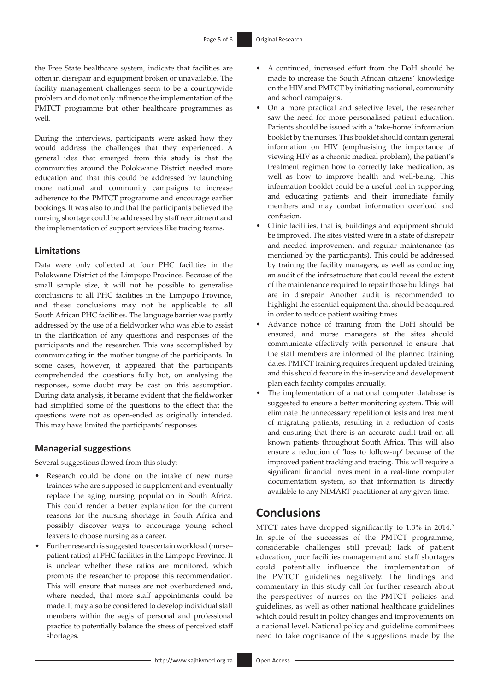the Free State healthcare system, indicate that facilities are often in disrepair and equipment broken or unavailable. The facility management challenges seem to be a countrywide problem and do not only influence the implementation of the PMTCT programme but other healthcare programmes as well.

During the interviews, participants were asked how they would address the challenges that they experienced. A general idea that emerged from this study is that the communities around the Polokwane District needed more education and that this could be addressed by launching more national and community campaigns to increase adherence to the PMTCT programme and encourage earlier bookings. It was also found that the participants believed the nursing shortage could be addressed by staff recruitment and the implementation of support services like tracing teams.

#### **Limitations**

Data were only collected at four PHC facilities in the Polokwane District of the Limpopo Province. Because of the small sample size, it will not be possible to generalise conclusions to all PHC facilities in the Limpopo Province, and these conclusions may not be applicable to all South African PHC facilities. The language barrier was partly addressed by the use of a fieldworker who was able to assist in the clarification of any questions and responses of the participants and the researcher. This was accomplished by communicating in the mother tongue of the participants. In some cases, however, it appeared that the participants comprehended the questions fully but, on analysing the responses, some doubt may be cast on this assumption. During data analysis, it became evident that the fieldworker had simplified some of the questions to the effect that the questions were not as open-ended as originally intended. This may have limited the participants' responses.

## **Managerial suggestions**

Several suggestions flowed from this study:

- Research could be done on the intake of new nurse trainees who are supposed to supplement and eventually replace the aging nursing population in South Africa. This could render a better explanation for the current reasons for the nursing shortage in South Africa and possibly discover ways to encourage young school leavers to choose nursing as a career.
- Further research is suggested to ascertain workload (nurse– patient ratios) at PHC facilities in the Limpopo Province. It is unclear whether these ratios are monitored, which prompts the researcher to propose this recommendation. This will ensure that nurses are not overburdened and, where needed, that more staff appointments could be made. It may also be considered to develop individual staff members within the aegis of personal and professional practice to potentially balance the stress of perceived staff shortages.
- • A continued, increased effort from the DoH should be made to increase the South African citizens' knowledge on the HIV and PMTCT by initiating national, community and school campaigns.
- On a more practical and selective level, the researcher saw the need for more personalised patient education. Patients should be issued with a 'take-home' information booklet by the nurses. This booklet should contain general information on HIV (emphasising the importance of viewing HIV as a chronic medical problem), the patient's treatment regimen how to correctly take medication, as well as how to improve health and well-being. This information booklet could be a useful tool in supporting and educating patients and their immediate family members and may combat information overload and confusion.
- Clinic facilities, that is, buildings and equipment should be improved. The sites visited were in a state of disrepair and needed improvement and regular maintenance (as mentioned by the participants). This could be addressed by training the facility managers, as well as conducting an audit of the infrastructure that could reveal the extent of the maintenance required to repair those buildings that are in disrepair. Another audit is recommended to highlight the essential equipment that should be acquired in order to reduce patient waiting times.
- Advance notice of training from the DoH should be ensured, and nurse managers at the sites should communicate effectively with personnel to ensure that the staff members are informed of the planned training dates. PMTCT training requires frequent updated training and this should feature in the in-service and development plan each facility compiles annually.
- The implementation of a national computer database is suggested to ensure a better monitoring system. This will eliminate the unnecessary repetition of tests and treatment of migrating patients, resulting in a reduction of costs and ensuring that there is an accurate audit trail on all known patients throughout South Africa. This will also ensure a reduction of 'loss to follow-up' because of the improved patient tracking and tracing. This will require a significant financial investment in a real-time computer documentation system, so that information is directly available to any NIMART practitioner at any given time.

# **Conclusions**

MTCT rates have dropped significantly to 1.3% in 2014.<sup>2</sup> In spite of the successes of the PMTCT programme, considerable challenges still prevail; lack of patient education, poor facilities management and staff shortages could potentially influence the implementation of the PMTCT guidelines negatively. The findings and commentary in this study call for further research about the perspectives of nurses on the PMTCT policies and guidelines, as well as other national healthcare guidelines which could result in policy changes and improvements on a national level. National policy and guideline committees need to take cognisance of the suggestions made by the